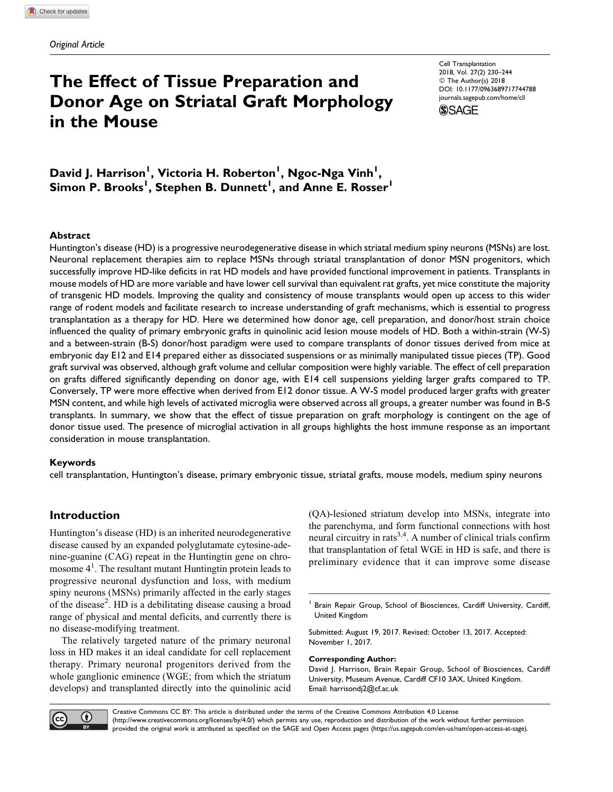# The Effect of Tissue Preparation and Donor Age on Striatal Graft Morphology in the Mouse

Cell Transplantation 2018, Vol. 27(2) 230–244 © The Author(s) 2018 [DOI: 10.1177/0963689717744788](https://doi.org/10.1177/0963689717744788) [journals.sagepub.com/home/cll](http://journals.sagepub.com/home/cll)



David J. Harrison<sup>1</sup>, Victoria H. Roberton<sup>1</sup>, Ngoc-Nga Vinh<sup>1</sup>, Simon P. Brooks<sup>1</sup>, Stephen B. Dunnett<sup>1</sup>, and Anne E. Rosser<sup>1</sup>

#### Abstract

Huntington's disease (HD) is a progressive neurodegenerative disease in which striatal medium spiny neurons (MSNs) are lost. Neuronal replacement therapies aim to replace MSNs through striatal transplantation of donor MSN progenitors, which successfully improve HD-like deficits in rat HD models and have provided functional improvement in patients. Transplants in mouse models of HD are more variable and have lower cell survival than equivalent rat grafts, yet mice constitute the majority of transgenic HD models. Improving the quality and consistency of mouse transplants would open up access to this wider range of rodent models and facilitate research to increase understanding of graft mechanisms, which is essential to progress transplantation as a therapy for HD. Here we determined how donor age, cell preparation, and donor/host strain choice influenced the quality of primary embryonic grafts in quinolinic acid lesion mouse models of HD. Both a within-strain (W-S) and a between-strain (B-S) donor/host paradigm were used to compare transplants of donor tissues derived from mice at embryonic day E12 and E14 prepared either as dissociated suspensions or as minimally manipulated tissue pieces (TP). Good graft survival was observed, although graft volume and cellular composition were highly variable. The effect of cell preparation on grafts differed significantly depending on donor age, with E14 cell suspensions yielding larger grafts compared to TP. Conversely, TP were more effective when derived from E12 donor tissue. A W-S model produced larger grafts with greater MSN content, and while high levels of activated microglia were observed across all groups, a greater number was found in B-S transplants. In summary, we show that the effect of tissue preparation on graft morphology is contingent on the age of donor tissue used. The presence of microglial activation in all groups highlights the host immune response as an important consideration in mouse transplantation.

#### Keywords

cell transplantation, Huntington's disease, primary embryonic tissue, striatal grafts, mouse models, medium spiny neurons

# Introduction

Huntington's disease (HD) is an inherited neurodegenerative disease caused by an expanded polyglutamate cytosine-adenine-guanine (CAG) repeat in the Huntingtin gene on chromosome 4<sup>1</sup>. The resultant mutant Huntingtin protein leads to progressive neuronal dysfunction and loss, with medium spiny neurons (MSNs) primarily affected in the early stages of the disease<sup>2</sup>. HD is a debilitating disease causing a broad range of physical and mental deficits, and currently there is no disease-modifying treatment.

The relatively targeted nature of the primary neuronal loss in HD makes it an ideal candidate for cell replacement therapy. Primary neuronal progenitors derived from the whole ganglionic eminence (WGE; from which the striatum develops) and transplanted directly into the quinolinic acid (QA)-lesioned striatum develop into MSNs, integrate into the parenchyma, and form functional connections with host neural circuitry in rats<sup>3,4</sup>. A number of clinical trials confirm that transplantation of fetal WGE in HD is safe, and there is preliminary evidence that it can improve some disease

Corresponding Author:

David J. Harrison, Brain Repair Group, School of Biosciences, Cardiff University, Museum Avenue, Cardiff CF10 3AX, United Kingdom. Email: harrisondj2@cf.ac.uk



Creative Commons CC BY: This article is distributed under the terms of the Creative Commons Attribution 4.0 License (http://www.creativecommons.org/licenses/by/4.0/) which permits any use, reproduction and distribution of the work without further permission provided the original work is attributed as specified on the SAGE and Open Access pages (<https://us.sagepub.com/en-us/nam/open-access-at-sage>).

<sup>&</sup>lt;sup>1</sup> Brain Repair Group, School of Biosciences, Cardiff University, Cardiff, United Kingdom

Submitted: August 19, 2017. Revised: October 13, 2017. Accepted: November 1, 2017.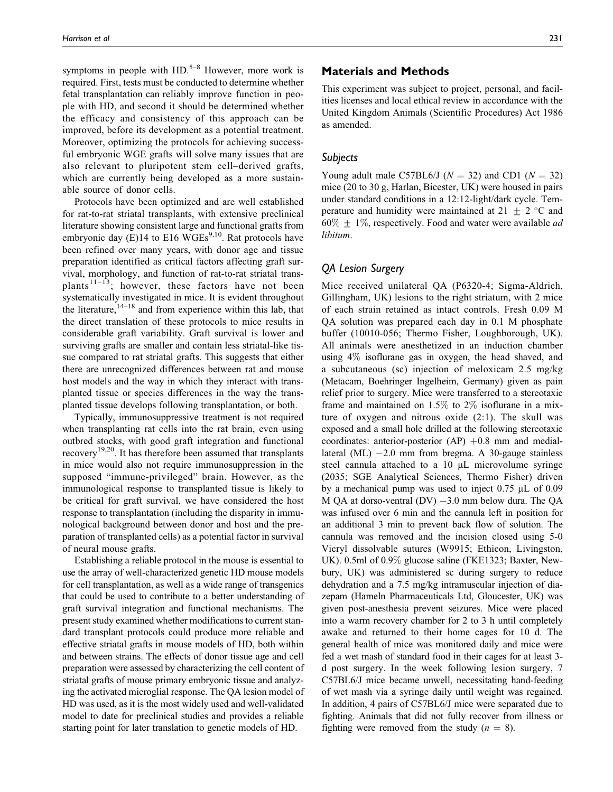symptoms in people with  $HD<sup>5-8</sup>$  However, more work is required. First, tests must be conducted to determine whether fetal transplantation can reliably improve function in people with HD, and second it should be determined whether the efficacy and consistency of this approach can be improved, before its development as a potential treatment. Moreover, optimizing the protocols for achieving successful embryonic WGE grafts will solve many issues that are also relevant to pluripotent stem cell–derived grafts, which are currently being developed as a more sustainable source of donor cells.

Protocols have been optimized and are well established for rat-to-rat striatal transplants, with extensive preclinical literature showing consistent large and functional grafts from embryonic day  $(E)$ 14 to E16 WGEs<sup>9,10</sup>. Rat protocols have been refined over many years, with donor age and tissue preparation identified as critical factors affecting graft survival, morphology, and function of rat-to-rat striatal transplants<sup>11–13</sup>; however, these factors have not been systematically investigated in mice. It is evident throughout the literature,  $14-18$  and from experience within this lab, that the direct translation of these protocols to mice results in considerable graft variability. Graft survival is lower and surviving grafts are smaller and contain less striatal-like tissue compared to rat striatal grafts. This suggests that either there are unrecognized differences between rat and mouse host models and the way in which they interact with transplanted tissue or species differences in the way the transplanted tissue develops following transplantation, or both.

Typically, immunosuppressive treatment is not required when transplanting rat cells into the rat brain, even using outbred stocks, with good graft integration and functional recovery<sup>19,20</sup>. It has therefore been assumed that transplants in mice would also not require immunosuppression in the supposed "immune-privileged" brain. However, as the immunological response to transplanted tissue is likely to be critical for graft survival, we have considered the host response to transplantation (including the disparity in immunological background between donor and host and the preparation of transplanted cells) as a potential factor in survival of neural mouse grafts.

Establishing a reliable protocol in the mouse is essential to use the array of well-characterized genetic HD mouse models for cell transplantation, as well as a wide range of transgenics that could be used to contribute to a better understanding of graft survival integration and functional mechanisms. The present study examined whether modifications to current standard transplant protocols could produce more reliable and effective striatal grafts in mouse models of HD, both within and between strains. The effects of donor tissue age and cell preparation were assessed by characterizing the cell content of striatal grafts of mouse primary embryonic tissue and analyzing the activated microglial response. The QA lesion model of HD was used, as it is the most widely used and well-validated model to date for preclinical studies and provides a reliable starting point for later translation to genetic models of HD.

## Materials and Methods

This experiment was subject to project, personal, and facilities licenses and local ethical review in accordance with the United Kingdom Animals (Scientific Procedures) Act 1986 as amended.

#### Subjects

Young adult male C57BL6/J ( $N = 32$ ) and CD1 ( $N = 32$ ) mice (20 to 30 g, Harlan, Bicester, UK) were housed in pairs under standard conditions in a 12:12-light/dark cycle. Temperature and humidity were maintained at  $21 \pm 2$  °C and  $60\% \pm 1\%$ , respectively. Food and water were available *ad* libitum.

# QA Lesion Surgery

Mice received unilateral QA (P6320-4; Sigma-Aldrich, Gillingham, UK) lesions to the right striatum, with 2 mice of each strain retained as intact controls. Fresh 0.09 M QA solution was prepared each day in 0.1 M phosphate buffer (10010-056; Thermo Fisher, Loughborough, UK). All animals were anesthetized in an induction chamber using 4% isoflurane gas in oxygen, the head shaved, and a subcutaneous (sc) injection of meloxicam 2.5 mg/kg (Metacam, Boehringer Ingelheim, Germany) given as pain relief prior to surgery. Mice were transferred to a stereotaxic frame and maintained on 1.5% to 2% isoflurane in a mixture of oxygen and nitrous oxide (2:1). The skull was exposed and a small hole drilled at the following stereotaxic coordinates: anterior-posterior  $(AP) +0.8$  mm and mediallateral (ML)  $-2.0$  mm from bregma. A 30-gauge stainless steel cannula attached to a  $10 \mu L$  microvolume syringe (2035; SGE Analytical Sciences, Thermo Fisher) driven by a mechanical pump was used to inject  $0.75 \mu L$  of  $0.09$ M QA at dorso-ventral  $(DV)$  -3.0 mm below dura. The QA was infused over 6 min and the cannula left in position for an additional 3 min to prevent back flow of solution. The cannula was removed and the incision closed using 5-0 Vicryl dissolvable sutures (W9915; Ethicon, Livingston, UK). 0.5ml of 0.9% glucose saline (FKE1323; Baxter, Newbury, UK) was administered sc during surgery to reduce dehydration and a 7.5 mg/kg intramuscular injection of diazepam (Hameln Pharmaceuticals Ltd, Gloucester, UK) was given post-anesthesia prevent seizures. Mice were placed into a warm recovery chamber for 2 to 3 h until completely awake and returned to their home cages for 10 d. The general health of mice was monitored daily and mice were fed a wet mash of standard food in their cages for at least 3 d post surgery. In the week following lesion surgery, 7 C57BL6/J mice became unwell, necessitating hand-feeding of wet mash via a syringe daily until weight was regained. In addition, 4 pairs of C57BL6/J mice were separated due to fighting. Animals that did not fully recover from illness or fighting were removed from the study  $(n = 8)$ .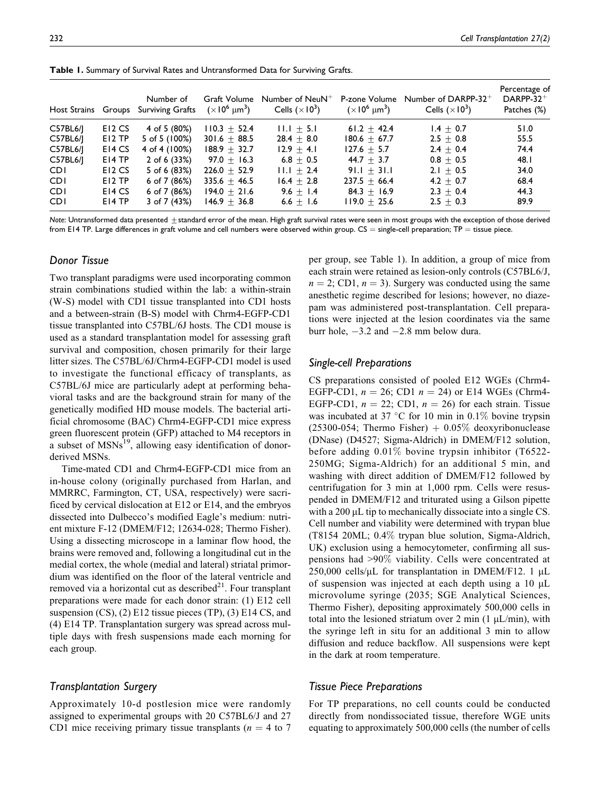|  |  |  |  |  | <b>Table 1.</b> Summary of Survival Rates and Untransformed Data for Surviving Grafts. |  |  |  |
|--|--|--|--|--|----------------------------------------------------------------------------------------|--|--|--|
|--|--|--|--|--|----------------------------------------------------------------------------------------|--|--|--|

| Host Strains    |                    | Number of<br><b>Groups</b> Surviving Grafts | Graft Volume<br>$(\times 10^6 \text{ }\mu\text{m}^3)$ | Number of $NeuN^{+}$<br>Cells $(\times 10^3)$ | P-zone Volume<br>$(\times 10^6 \,\mathrm{\upmu m}^3)$ | Number of DARPP-32 <sup>+</sup><br>Cells $(\times 10^3)$ | Percentage of<br>$DARPP-32+$<br>Patches (%) |
|-----------------|--------------------|---------------------------------------------|-------------------------------------------------------|-----------------------------------------------|-------------------------------------------------------|----------------------------------------------------------|---------------------------------------------|
| <b>C57BL6/J</b> | E <sub>12</sub> CS | 4 of 5 (80%)                                | $110.3 + 52.4$                                        | $11.1 + 5.1$                                  | $61.2 + 42.4$                                         | $1.4 + 0.7$                                              | 51.0                                        |
| <b>C57BL6/I</b> | E12 TP             | 5 of 5 (100%)                               | $301.6 + 88.5$                                        | $28.4 + 8.0$                                  | $180.6 + 67.7$                                        | $2.5 + 0.8$                                              | 55.5                                        |
| <b>C57BL6/I</b> | E <sub>14</sub> CS | 4 of 4 (100%)                               | $188.9 + 32.7$                                        | $12.9 + 4.1$                                  | $127.6 + 5.7$                                         | $2.4 + 0.4$                                              | 74.4                                        |
| <b>C57BL6/I</b> | E14 TP             | 2 of 6 $(33%)$                              | $97.0 + 16.3$                                         | $6.8 + 0.5$                                   | $44.7 + 3.7$                                          | $0.8 + 0.5$                                              | 48. I                                       |
| <b>CDI</b>      | E <sub>12</sub> CS | 5 of 6 (83%)                                | $226.0 + 52.9$                                        | $11.1 + 2.4$                                  | $91.1 + 31.1$                                         | $2.1 + 0.5$                                              | 34.0                                        |
| <b>CDI</b>      | E <sub>12</sub> TP | 6 of $7(86%)$                               | $335.6 + 46.5$                                        | $16.4 + 2.8$                                  | $237.5 + 66.4$                                        | $4.2 + 0.7$                                              | 68.4                                        |
| <b>CDI</b>      | E <sub>14</sub> CS | 6 of 7 (86%)                                | $194.0 + 21.6$                                        | $9.6 + 1.4$                                   | $84.3 + 16.9$                                         | $2.3 + 0.4$                                              | 44.3                                        |
| <b>CDI</b>      | E <sub>14</sub> TP | 3 of 7 (43%)                                | $146.9 + 36.8$                                        | $6.6 + 1.6$                                   | $119.0 + 25.6$                                        | $2.5 + 0.3$                                              | 89.9                                        |

Note: Untransformed data presented  $\pm$ standard error of the mean. High graft survival rates were seen in most groups with the exception of those derived from E14 TP. Large differences in graft volume and cell numbers were observed within group.  $CS = single-cell$  preparation;  $TP = tissue$  piece.

## Donor Tissue

Two transplant paradigms were used incorporating common strain combinations studied within the lab: a within-strain (W-S) model with CD1 tissue transplanted into CD1 hosts and a between-strain (B-S) model with Chrm4-EGFP-CD1 tissue transplanted into C57BL/6J hosts. The CD1 mouse is used as a standard transplantation model for assessing graft survival and composition, chosen primarily for their large litter sizes. The C57BL/6J/Chrm4-EGFP-CD1 model is used to investigate the functional efficacy of transplants, as C57BL/6J mice are particularly adept at performing behavioral tasks and are the background strain for many of the genetically modified HD mouse models. The bacterial artificial chromosome (BAC) Chrm4-EGFP-CD1 mice express green fluorescent protein (GFP) attached to M4 receptors in a subset of  $MSNs<sup>19</sup>$ , allowing easy identification of donorderived MSNs.

Time-mated CD1 and Chrm4-EGFP-CD1 mice from an in-house colony (originally purchased from Harlan, and MMRRC, Farmington, CT, USA, respectively) were sacrificed by cervical dislocation at E12 or E14, and the embryos dissected into Dulbecco's modified Eagle's medium: nutrient mixture F-12 (DMEM/F12; 12634-028; Thermo Fisher). Using a dissecting microscope in a laminar flow hood, the brains were removed and, following a longitudinal cut in the medial cortex, the whole (medial and lateral) striatal primordium was identified on the floor of the lateral ventricle and removed via a horizontal cut as described $2<sup>1</sup>$ . Four transplant preparations were made for each donor strain: (1) E12 cell suspension (CS), (2) E12 tissue pieces (TP), (3) E14 CS, and (4) E14 TP. Transplantation surgery was spread across multiple days with fresh suspensions made each morning for each group.

## Transplantation Surgery

Approximately 10-d postlesion mice were randomly assigned to experimental groups with 20 C57BL6/J and 27 CD1 mice receiving primary tissue transplants ( $n = 4$  to 7 per group, see Table 1). In addition, a group of mice from each strain were retained as lesion-only controls (C57BL6/J,  $n = 2$ ; CD1,  $n = 3$ ). Surgery was conducted using the same anesthetic regime described for lesions; however, no diazepam was administered post-transplantation. Cell preparations were injected at the lesion coordinates via the same burr hole,  $-3.2$  and  $-2.8$  mm below dura.

#### Single-cell Preparations

CS preparations consisted of pooled E12 WGEs (Chrm4- EGFP-CD1,  $n = 26$ ; CD1  $n = 24$ ) or E14 WGEs (Chrm4-EGFP-CD1,  $n = 22$ ; CD1,  $n = 26$ ) for each strain. Tissue was incubated at 37 °C for 10 min in 0.1% bovine trypsin (25300-054; Thermo Fisher) +  $0.05\%$  deoxyribonuclease (DNase) (D4527; Sigma-Aldrich) in DMEM/F12 solution, before adding 0.01% bovine trypsin inhibitor (T6522- 250MG; Sigma-Aldrich) for an additional 5 min, and washing with direct addition of DMEM/F12 followed by centrifugation for 3 min at 1,000 rpm. Cells were resuspended in DMEM/F12 and triturated using a Gilson pipette with a  $200 \mu L$  tip to mechanically dissociate into a single CS. Cell number and viability were determined with trypan blue (T8154 20ML; 0.4% trypan blue solution, Sigma-Aldrich, UK) exclusion using a hemocytometer, confirming all suspensions had >90% viability. Cells were concentrated at  $250,000$  cells/ $\mu$ L for transplantation in DMEM/F12. 1  $\mu$ L of suspension was injected at each depth using a 10 mL microvolume syringe (2035; SGE Analytical Sciences, Thermo Fisher), depositing approximately 500,000 cells in total into the lesioned striatum over 2 min  $(1 \mu L/min)$ , with the syringe left in situ for an additional 3 min to allow diffusion and reduce backflow. All suspensions were kept in the dark at room temperature.

## Tissue Piece Preparations

For TP preparations, no cell counts could be conducted directly from nondissociated tissue, therefore WGE units equating to approximately 500,000 cells (the number of cells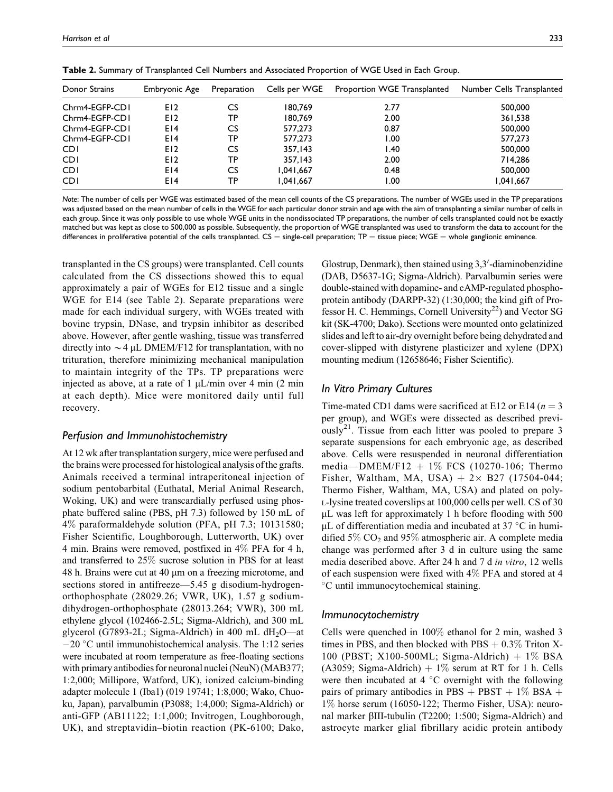| Donor Strains  | Embryonic Age   | Preparation |           | Cells per WGE Proportion WGE Transplanted | Number Cells Transplanted |
|----------------|-----------------|-------------|-----------|-------------------------------------------|---------------------------|
| Chrm4-EGFP-CD1 | E <sub>12</sub> | CS          | 180,769   | 2.77                                      | 500,000                   |
| Chrm4-EGFP-CD1 | E <sub>12</sub> | ТP          | 180,769   | 2.00                                      | 361.538                   |
| Chrm4-EGFP-CD1 | E <sub>14</sub> | CS.         | 577,273   | 0.87                                      | 500,000                   |
| Chrm4-EGFP-CD1 | E <sub>14</sub> | ТP          | 577,273   | 1.00                                      | 577,273                   |
| <b>CDI</b>     | E <sub>12</sub> | <b>CS</b>   | 357.143   | 1.40                                      | 500,000                   |
| <b>CDI</b>     | E <sub>12</sub> | ТP          | 357.143   | 2.00                                      | 714,286                   |
| <b>CDI</b>     | E <sub>14</sub> | CS          | 1,041,667 | 0.48                                      | 500,000                   |
| <b>CDI</b>     | E <sub>14</sub> | ТP          | 1,041,667 | 1.00                                      | 1,041,667                 |

Table 2. Summary of Transplanted Cell Numbers and Associated Proportion of WGE Used in Each Group.

Note: The number of cells per WGE was estimated based of the mean cell counts of the CS preparations. The number of WGEs used in the TP preparations was adjusted based on the mean number of cells in the WGE for each particular donor strain and age with the aim of transplanting a similar number of cells in each group. Since it was only possible to use whole WGE units in the nondissociated TP preparations, the number of cells transplanted could not be exactly matched but was kept as close to 500,000 as possible. Subsequently, the proportion of WGE transplanted was used to transform the data to account for the differences in proliferative potential of the cells transplanted.  $CS =$  single-cell preparation;  $TP =$  tissue piece; WGE  $=$  whole ganglionic eminence.

transplanted in the CS groups) were transplanted. Cell counts calculated from the CS dissections showed this to equal approximately a pair of WGEs for E12 tissue and a single WGE for E14 (see Table 2). Separate preparations were made for each individual surgery, with WGEs treated with bovine trypsin, DNase, and trypsin inhibitor as described above. However, after gentle washing, tissue was transferred directly into  $\sim$  4 µL DMEM/F12 for transplantation, with no trituration, therefore minimizing mechanical manipulation to maintain integrity of the TPs. TP preparations were injected as above, at a rate of  $1 \mu L/min$  over 4 min (2 min at each depth). Mice were monitored daily until full recovery.

# Perfusion and Immunohistochemistry

At 12 wk after transplantation surgery, mice were perfused and the brains were processed for histological analysis of the grafts. Animals received a terminal intraperitoneal injection of sodium pentobarbital (Euthatal, Merial Animal Research, Woking, UK) and were transcardially perfused using phosphate buffered saline (PBS, pH 7.3) followed by 150 mL of 4% paraformaldehyde solution (PFA, pH 7.3; 10131580; Fisher Scientific, Loughborough, Lutterworth, UK) over 4 min. Brains were removed, postfixed in 4% PFA for 4 h, and transferred to 25% sucrose solution in PBS for at least 48 h. Brains were cut at 40  $\mu$ m on a freezing microtome, and sections stored in antifreeze—5.45 g disodium-hydrogenorthophosphate (28029.26; VWR, UK), 1.57 g sodiumdihydrogen-orthophosphate (28013.264; VWR), 300 mL ethylene glycol (102466-2.5L; Sigma-Aldrich), and 300 mL glycerol (G7893-2L; Sigma-Aldrich) in 400 mL  $dH_2O$ —at  $-20$  °C until immunohistochemical analysis. The 1:12 series were incubated at room temperature as free-floating sections with primary antibodies for neuronal nuclei (NeuN) (MAB377; 1:2,000; Millipore, Watford, UK), ionized calcium-binding adapter molecule 1 (Iba1) (019 19741; 1:8,000; Wako, Chuoku, Japan), parvalbumin (P3088; 1:4,000; Sigma-Aldrich) or anti-GFP (AB11122; 1:1,000; Invitrogen, Loughborough, UK), and streptavidin–biotin reaction (PK-6100; Dako,

Glostrup, Denmark), then stained using 3,3'-diaminobenzidine (DAB, D5637-1G; Sigma-Aldrich). Parvalbumin series were double-stained with dopamine- and cAMP-regulated phosphoprotein antibody (DARPP-32) (1:30,000; the kind gift of Professor H. C. Hemmings, Cornell University<sup>22</sup>) and Vector SG kit (SK-4700; Dako). Sections were mounted onto gelatinized slides and left to air-dry overnight before being dehydrated and cover-slipped with distyrene plasticizer and xylene (DPX) mounting medium (12658646; Fisher Scientific).

## In Vitro Primary Cultures

Time-mated CD1 dams were sacrificed at E12 or E14 ( $n = 3$ ) per group), and WGEs were dissected as described previously<sup>21</sup>. Tissue from each litter was pooled to prepare 3 separate suspensions for each embryonic age, as described above. Cells were resuspended in neuronal differentiation media—DMEM/F12 +  $1\%$  FCS (10270-106; Thermo Fisher, Waltham, MA, USA) +  $2 \times B27$  (17504-044; Thermo Fisher, Waltham, MA, USA) and plated on poly-L-lysine treated coverslips at 100,000 cells per well. CS of 30  $\mu$ L was left for approximately 1 h before flooding with 500  $\mu$ L of differentiation media and incubated at 37 °C in humidified  $5\%$  CO<sub>2</sub> and  $95\%$  atmospheric air. A complete media change was performed after 3 d in culture using the same media described above. After 24 h and 7 d in vitro, 12 wells of each suspension were fixed with 4% PFA and stored at 4 -C until immunocytochemical staining.

## Immunocytochemistry

Cells were quenched in 100% ethanol for 2 min, washed 3 times in PBS, and then blocked with PBS  $+0.3\%$  Triton X-100 (PBST; X100-500ML; Sigma-Aldrich) +  $1\%$  BSA (A3059; Sigma-Aldrich)  $+1\%$  serum at RT for 1 h. Cells were then incubated at  $4 °C$  overnight with the following pairs of primary antibodies in PBS + PBST +  $1\%$  BSA + 1% horse serum (16050-122; Thermo Fisher, USA): neuronal marker bIII-tubulin (T2200; 1:500; Sigma-Aldrich) and astrocyte marker glial fibrillary acidic protein antibody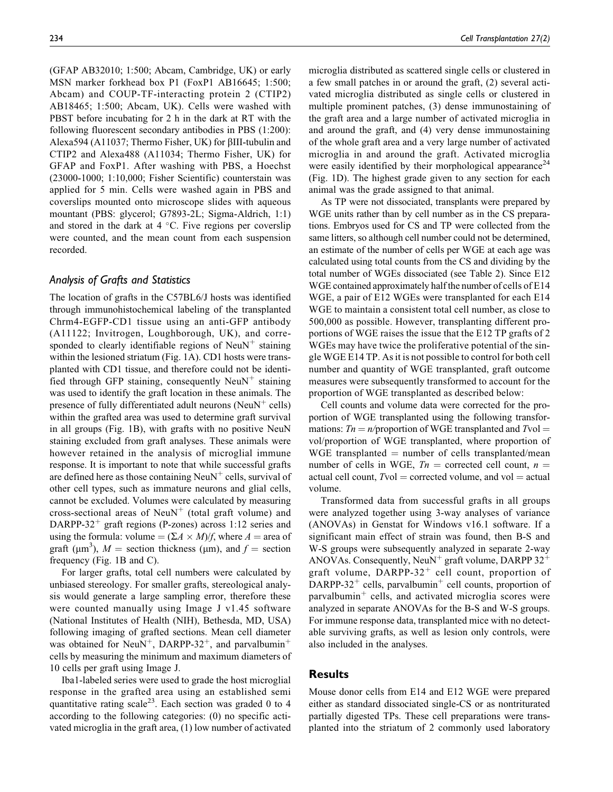(GFAP AB32010; 1:500; Abcam, Cambridge, UK) or early MSN marker forkhead box P1 (FoxP1 AB16645; 1:500; Abcam) and COUP-TF-interacting protein 2 (CTIP2) AB18465; 1:500; Abcam, UK). Cells were washed with PBST before incubating for 2 h in the dark at RT with the following fluorescent secondary antibodies in PBS (1:200): Alexa594 (A11037; Thermo Fisher, UK) for βIII-tubulin and CTIP2 and Alexa488 (A11034; Thermo Fisher, UK) for GFAP and FoxP1. After washing with PBS, a Hoechst (23000-1000; 1:10,000; Fisher Scientific) counterstain was applied for 5 min. Cells were washed again in PBS and coverslips mounted onto microscope slides with aqueous mountant (PBS: glycerol; G7893-2L; Sigma-Aldrich, 1:1) and stored in the dark at  $4^{\circ}$ C. Five regions per coverslip were counted, and the mean count from each suspension recorded.

## Analysis of Grafts and Statistics

The location of grafts in the C57BL6/J hosts was identified through immunohistochemical labeling of the transplanted Chrm4-EGFP-CD1 tissue using an anti-GFP antibody (A11122; Invitrogen, Loughborough, UK), and corresponded to clearly identifiable regions of NeuN<sup>+</sup> staining within the lesioned striatum (Fig. 1A). CD1 hosts were transplanted with CD1 tissue, and therefore could not be identified through GFP staining, consequently  $NeuN^+$  staining was used to identify the graft location in these animals. The presence of fully differentiated adult neurons (NeuN<sup>+</sup> cells) within the grafted area was used to determine graft survival in all groups (Fig. 1B), with grafts with no positive NeuN staining excluded from graft analyses. These animals were however retained in the analysis of microglial immune response. It is important to note that while successful grafts are defined here as those containing  $NeuN^+$  cells, survival of other cell types, such as immature neurons and glial cells, cannot be excluded. Volumes were calculated by measuring cross-sectional areas of NeuN<sup>+</sup> (total graft volume) and DARPP-32<sup>+</sup> graft regions (P-zones) across 1:12 series and using the formula: volume =  $(\Sigma A \times M)/f$ , where A = area of graft ( $\mu$ m<sup>3</sup>),  $M =$  section thickness ( $\mu$ m), and  $f =$  section frequency (Fig. 1B and C).

For larger grafts, total cell numbers were calculated by unbiased stereology. For smaller grafts, stereological analysis would generate a large sampling error, therefore these were counted manually using Image J v1.45 software (National Institutes of Health (NIH), Bethesda, MD, USA) following imaging of grafted sections. Mean cell diameter was obtained for NeuN<sup>+</sup>, DARPP-32<sup>+</sup>, and parvalbumin<sup>+</sup> cells by measuring the minimum and maximum diameters of 10 cells per graft using Image J.

Iba1-labeled series were used to grade the host microglial response in the grafted area using an established semi quantitative rating scale<sup>23</sup>. Each section was graded 0 to 4 according to the following categories: (0) no specific activated microglia in the graft area, (1) low number of activated microglia distributed as scattered single cells or clustered in a few small patches in or around the graft, (2) several activated microglia distributed as single cells or clustered in multiple prominent patches, (3) dense immunostaining of the graft area and a large number of activated microglia in and around the graft, and (4) very dense immunostaining of the whole graft area and a very large number of activated microglia in and around the graft. Activated microglia were easily identified by their morphological appearance<sup>24</sup> (Fig. 1D). The highest grade given to any section for each animal was the grade assigned to that animal.

As TP were not dissociated, transplants were prepared by WGE units rather than by cell number as in the CS preparations. Embryos used for CS and TP were collected from the same litters, so although cell number could not be determined, an estimate of the number of cells per WGE at each age was calculated using total counts from the CS and dividing by the total number of WGEs dissociated (see Table 2). Since E12 WGE contained approximately half the number of cells of E14 WGE, a pair of E12 WGEs were transplanted for each E14 WGE to maintain a consistent total cell number, as close to 500,000 as possible. However, transplanting different proportions of WGE raises the issue that the E12 TP grafts of 2 WGEs may have twice the proliferative potential of the single WGE E14 TP. As it is not possible to control for both cell number and quantity of WGE transplanted, graft outcome measures were subsequently transformed to account for the proportion of WGE transplanted as described below:

Cell counts and volume data were corrected for the proportion of WGE transplanted using the following transformations:  $Tn = n$ /proportion of WGE transplanted and  $Tvol =$ vol/proportion of WGE transplanted, where proportion of WGE transplanted  $=$  number of cells transplanted/mean number of cells in WGE,  $T_n$  = corrected cell count,  $n =$ actual cell count,  $Tvol =$  corrected volume, and vol  $=$  actual volume.

Transformed data from successful grafts in all groups were analyzed together using 3-way analyses of variance (ANOVAs) in Genstat for Windows v16.1 software. If a significant main effect of strain was found, then B-S and W-S groups were subsequently analyzed in separate 2-way ANOVAs. Consequently, NeuN<sup>+</sup> graft volume, DARPP 32<sup>+</sup> graft volume,  $DARPP-32^+$  cell count, proportion of DARPP-32<sup>+</sup> cells, parvalbumin<sup>+</sup> cell counts, proportion of parvalbumin<sup> $+$ </sup> cells, and activated microglia scores were analyzed in separate ANOVAs for the B-S and W-S groups. For immune response data, transplanted mice with no detectable surviving grafts, as well as lesion only controls, were also included in the analyses.

## Results

Mouse donor cells from E14 and E12 WGE were prepared either as standard dissociated single-CS or as nontriturated partially digested TPs. These cell preparations were transplanted into the striatum of 2 commonly used laboratory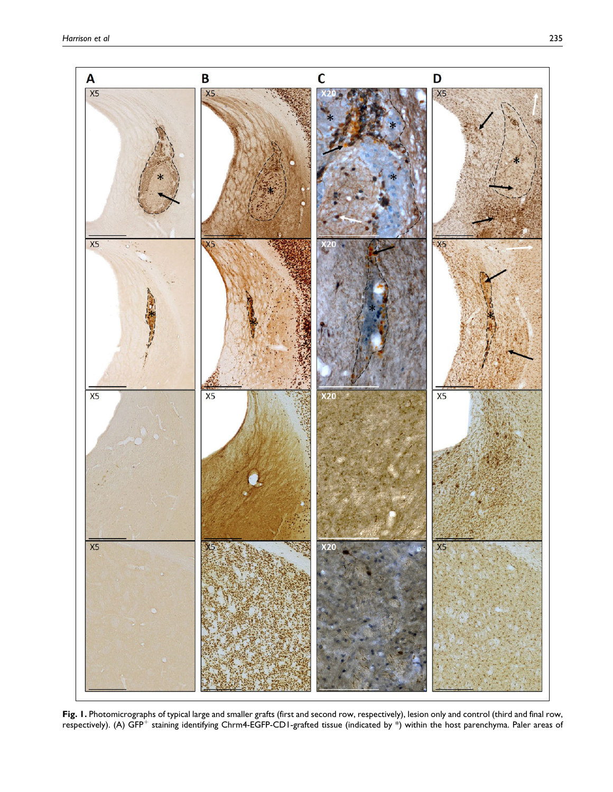

**Fig. 1.** Photomicrographs of typical large and smaller grafts (first and second row, respectively), lesion only and control (third and final row, respectively). (A) GFP<sup>+</sup> staining identifying Chrm4-EGFP-CD1-grafted tissue (indicated by \*) within the host parenchyma. Paler areas of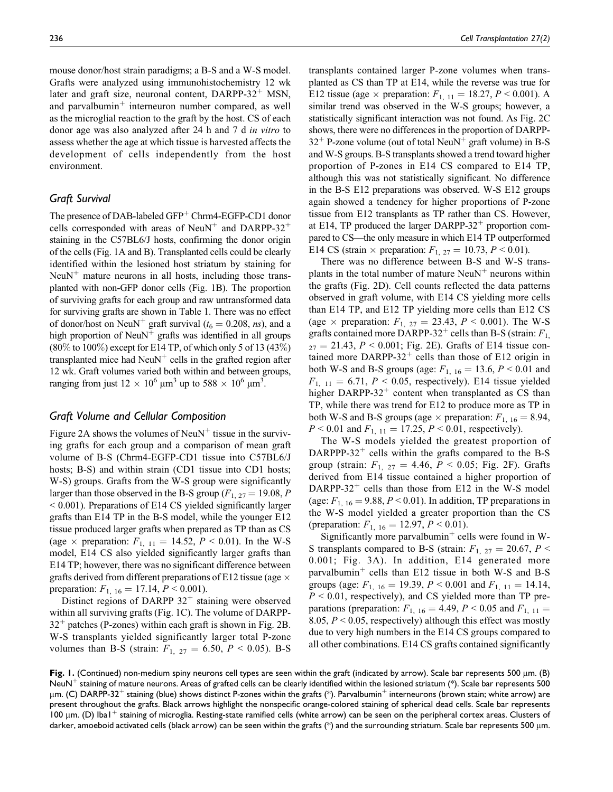mouse donor/host strain paradigms; a B-S and a W-S model. Grafts were analyzed using immunohistochemistry 12 wk later and graft size, neuronal content,  $DARPP-32^+$  MSN, and parvalbumin<sup> $+$ </sup> interneuron number compared, as well as the microglial reaction to the graft by the host. CS of each donor age was also analyzed after 24 h and 7 d in vitro to assess whether the age at which tissue is harvested affects the development of cells independently from the host environment.

## Graft Survival

The presence of DAB-labeled  $GFP<sup>+</sup>Chrm4-EGFP-CD1$  donor cells corresponded with areas of NeuN<sup>+</sup> and DARPP-32<sup>+</sup> staining in the C57BL6/J hosts, confirming the donor origin of the cells (Fig. 1A and B). Transplanted cells could be clearly identified within the lesioned host striatum by staining for NeuN<sup> $+$ </sup> mature neurons in all hosts, including those transplanted with non-GFP donor cells (Fig. 1B). The proportion of surviving grafts for each group and raw untransformed data for surviving grafts are shown in Table 1. There was no effect of donor/host on NeuN<sup>+</sup> graft survival ( $t_6 = 0.208$ , ns), and a high proportion of NeuN<sup> $+$ </sup> grafts was identified in all groups  $(80\%$  to  $100\%)$  except for E14 TP, of which only 5 of 13  $(43\%)$ transplanted mice had NeuN<sup> $+$ </sup> cells in the grafted region after 12 wk. Graft volumes varied both within and between groups, ranging from just  $12 \times 10^6 \text{ }\mu\text{m}^3$  up to  $588 \times 10^6 \text{ }\mu\text{m}^3$ .

#### Graft Volume and Cellular Composition

Figure 2A shows the volumes of NeuN<sup> $+$ </sup> tissue in the surviving grafts for each group and a comparison of mean graft volume of B-S (Chrm4-EGFP-CD1 tissue into C57BL6/J hosts; B-S) and within strain (CD1 tissue into CD1 hosts; W-S) groups. Grafts from the W-S group were significantly larger than those observed in the B-S group ( $F_{1, 27} = 19.08, P$ ) < 0.001). Preparations of E14 CS yielded significantly larger grafts than E14 TP in the B-S model, while the younger E12 tissue produced larger grafts when prepared as TP than as CS (age  $\times$  preparation:  $F_{1, 11} = 14.52, P \le 0.01$ ). In the W-S model, E14 CS also yielded significantly larger grafts than E14 TP; however, there was no significant difference between grafts derived from different preparations of E12 tissue (age  $\times$ preparation:  $F_{1, 16} = 17.14, P \le 0.001$ ).

Distinct regions of DARPP  $32^+$  staining were observed within all surviving grafts (Fig. 1C). The volume of DARPP- $32^+$  patches (P-zones) within each graft is shown in Fig. 2B. W-S transplants yielded significantly larger total P-zone volumes than B-S (strain:  $F_{1, 27} = 6.50, P \le 0.05$ ). B-S transplants contained larger P-zone volumes when transplanted as CS than TP at E14, while the reverse was true for E12 tissue (age  $\times$  preparation:  $F_{1, 11} = 18.27, P \le 0.001$ ). A similar trend was observed in the W-S groups; however, a statistically significant interaction was not found. As Fig. 2C shows, there were no differences in the proportion of DARPP- $32^+$  P-zone volume (out of total NeuN<sup>+</sup> graft volume) in B-S and W-S groups. B-S transplants showed a trend toward higher proportion of P-zones in E14 CS compared to E14 TP, although this was not statistically significant. No difference in the B-S E12 preparations was observed. W-S E12 groups again showed a tendency for higher proportions of P-zone tissue from E12 transplants as TP rather than CS. However, at E14, TP produced the larger DARPP-32<sup>+</sup> proportion compared to CS—the only measure in which E14 TP outperformed E14 CS (strain  $\times$  preparation:  $F_{1, 27} = 10.73, P \le 0.01$ ).

There was no difference between B-S and W-S transplants in the total number of mature  $NeuN^+$  neurons within the grafts (Fig. 2D). Cell counts reflected the data patterns observed in graft volume, with E14 CS yielding more cells than E14 TP, and E12 TP yielding more cells than E12 CS (age  $\times$  preparation:  $F_{1, 27} = 23.43, P \le 0.001$ ). The W-S grafts contained more DARPP-32<sup>+</sup> cells than B-S (strain:  $F_1$ ,  $_{27} = 21.43, P < 0.001$ ; Fig. 2E). Grafts of E14 tissue contained more DARPP-32<sup>+</sup> cells than those of E12 origin in both W-S and B-S groups (age:  $F_{1, 16} = 13.6, P \le 0.01$  and  $F_{1, 11} = 6.71, P \le 0.05$ , respectively). E14 tissue yielded higher DARPP-32<sup>+</sup> content when transplanted as CS than TP, while there was trend for E12 to produce more as TP in both W-S and B-S groups (age  $\times$  preparation:  $F_{1, 16} = 8.94$ ,  $P < 0.01$  and  $F_{1, 11} = 17.25, P < 0.01$ , respectively).

The W-S models yielded the greatest proportion of DARPPP-32<sup>+</sup> cells within the grafts compared to the B-S group (strain:  $F_{1, 27} = 4.46, P < 0.05$ ; Fig. 2F). Grafts derived from E14 tissue contained a higher proportion of DARPP-32<sup>+</sup> cells than those from E12 in the W-S model (age:  $F_{1, 16} = 9.88, P < 0.01$ ). In addition, TP preparations in the W-S model yielded a greater proportion than the CS (preparation:  $F_{1, 16} = 12.97, P \le 0.01$ ).

Significantly more parvalbumin<sup> $+$ </sup> cells were found in W-S transplants compared to B-S (strain:  $F_{1, 27} = 20.67, P \leq$ 0.001; Fig. 3A). In addition, E14 generated more parvalbumin<sup>+</sup> cells than E12 tissue in both W-S and B-S groups (age:  $F_{1, 16} = 19.39, P < 0.001$  and  $F_{1, 11} = 14.14,$  $P < 0.01$ , respectively), and CS yielded more than TP preparations (preparation:  $F_{1, 16} = 4.49, P \le 0.05$  and  $F_{1, 11} =$ 8.05,  $P < 0.05$ , respectively) although this effect was mostly due to very high numbers in the E14 CS groups compared to all other combinations. E14 CS grafts contained significantly

Fig. I. (Continued) non-medium spiny neurons cell types are seen within the graft (indicated by arrow). Scale bar represents 500 µm. (B) NeuN<sup>+</sup> staining of mature neurons. Areas of grafted cells can be clearly identified within the lesioned striatum (\*). Scale bar represents 500  $\mu$ m. (C) DARPP-32<sup>+</sup> staining (blue) shows distinct P-zones within the grafts (\*). Parvalbumin<sup>+</sup> interneurons (brown stain; white arrow) are present throughout the grafts. Black arrows highlight the nonspecific orange-colored staining of spherical dead cells. Scale bar represents  $100 \mu$ m. (D) Iba1<sup>+</sup> staining of microglia. Resting-state ramified cells (white arrow) can be seen on the peripheral cortex areas. Clusters of darker, amoeboid activated cells (black arrow) can be seen within the grafts (\*) and the surrounding striatum. Scale bar represents 500 µm.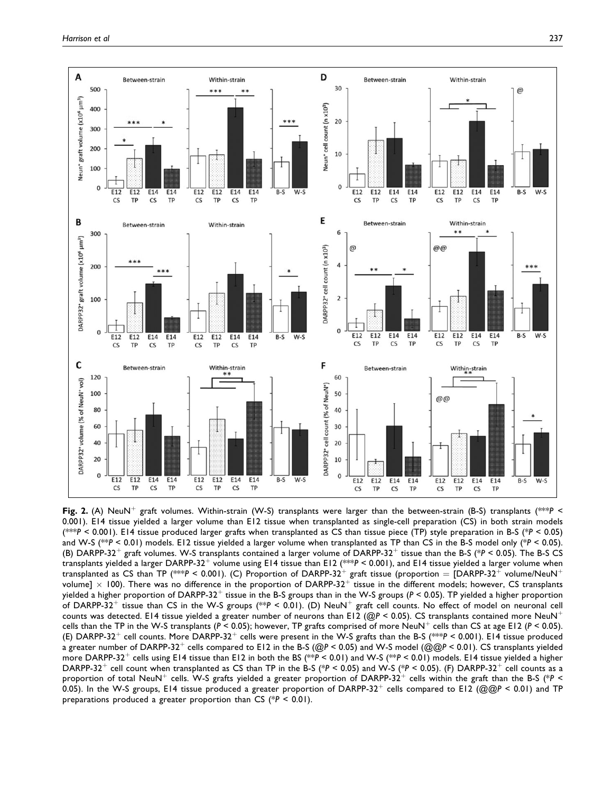

Fig. 2. (A) NeuN<sup>+</sup> graft volumes. Within-strain (W-S) transplants were larger than the between-strain (B-S) transplants (\*\*\*P < 0.001). E14 tissue yielded a larger volume than E12 tissue when transplanted as single-cell preparation (CS) in both strain models (\*\*\*P < 0.001). E14 tissue produced larger grafts when transplanted as CS than tissue piece (TP) style preparation in B-S (\*P < 0.05) and W-S ( $*P$  < 0.01) models. E12 tissue yielded a larger volume when transplanted as TP than CS in the B-S model only ( $*P$  < 0.05). (B) DARPP-32<sup>+</sup> graft volumes. W-S transplants contained a larger volume of DARPP-32<sup>+</sup> tissue than the B-S (\*P < 0.05). The B-S CS transplants yielded a larger DARPP-32<sup>+</sup> volume using E14 tissue than E12 (\*\*\*P < 0.001), and E14 tissue yielded a larger volume when transplanted as CS than TP (\*\*\*P < 0.001). (C) Proportion of DARPP-32<sup>+</sup> graft tissue (proportion = [DARPP-32<sup>+</sup> volume/NeuN<sup>+</sup> volume]  $\times$  100). There was no difference in the proportion of DARPP-32<sup>+</sup> tissue in the different models; however, CS transplants yielded a higher proportion of DARPP-32<sup>+</sup> tissue in the B-S groups than in the W-S groups ( $P < 0.05$ ). TP yielded a higher proportion of DARPP-32<sup>+</sup> tissue than CS in the W-S groups (\*\*P < 0.01). (D) NeuN<sup>+</sup> graft cell counts. No effect of model on neuronal cell counts was detected. E14 tissue yielded a greater number of neurons than E12 ( $@P$  < 0.05). CS transplants contained more NeuN<sup>+</sup> cells than the TP in the W-S transplants ( $P < 0.05$ ); however, TP grafts comprised of more NeuN<sup>+</sup> cells than CS at age E12 ( $P < 0.05$ ). (E) DARPP-32<sup>+</sup> cell counts. More DARPP-32<sup>+</sup> cells were present in the W-S grafts than the B-S (\*\*\*P < 0.001). E14 tissue produced a greater number of DARPP-32<sup>+</sup> cells compared to E12 in the B-S ( $QP < 0.05$ ) and W-S model ( $QQP < 0.01$ ). CS transplants yielded more DARPP-32<sup>+</sup> cells using E14 tissue than E12 in both the BS (\*\*P < 0.01) and W-S (\*\*P < 0.01) models. E14 tissue yielded a higher DARPP-32<sup>+</sup> cell count when transplanted as CS than TP in the B-S (\*P < 0.05) and W-S (\*P < 0.05). (F) DARPP-32<sup>+</sup> cell counts as a proportion of total NeuN<sup>+</sup> cells. W-S grafts yielded a greater proportion of DARPP-32<sup>+</sup> cells within the graft than the B-S (\*P < 0.05). In the W-S groups, E14 tissue produced a greater proportion of DARPP-32<sup>+</sup> cells compared to E12 (@@P < 0.01) and TP preparations produced a greater proportion than CS ( $*P < 0.01$ ).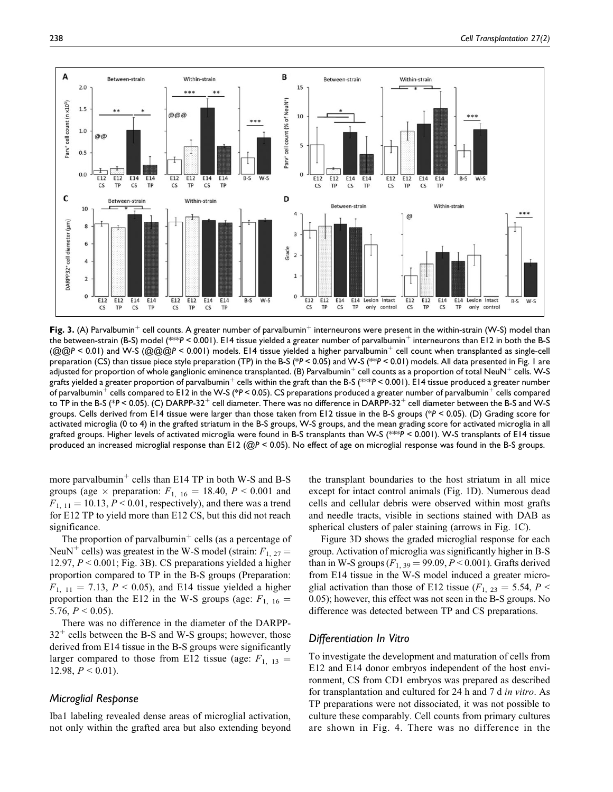

Fig. 3. (A) Parvalbumin<sup>+</sup> cell counts. A greater number of parvalbumin<sup>+</sup> interneurons were present in the within-strain (W-S) model than the between-strain (B-S) model (\*\*  $P$  < 0.001). E14 tissue yielded a greater number of parvalbumin<sup>+</sup> interneurons than E12 in both the B-S ( $@@P < 0.01$ ) and W-S ( $@@QP < 0.001$ ) models. E14 tissue yielded a higher parvalbumin<sup>+</sup> cell count when transplanted as single-cell preparation (CS) than tissue piece style preparation (TP) in the B-S (\*P < 0.05) and W-S (\*\*P < 0.01) models. All data presented in Fig. 1 are adjusted for proportion of whole ganglionic eminence transplanted. (B) Parvalbumin<sup>+</sup> cell counts as a proportion of total NeuN<sup>+</sup> cells. W-S grafts yielded a greater proportion of parvalbumin<sup>+</sup> cells within the graft than the B-S (\*\*\*P < 0.001). E14 tissue produced a greater number of parvalbumin<sup>+</sup> cells compared to E12 in the W-S (\*P < 0.05). CS preparations produced a greater number of parvalbumin<sup>+</sup> cells compared to TP in the B-S (\*P < 0.05). (C) DARPP-32<sup>+</sup> cell diameter. There was no difference in DARPP-32<sup>+</sup> cell diameter between the B-S and W-S groups. Cells derived from E14 tissue were larger than those taken from E12 tissue in the B-S groups (\*P < 0.05). (D) Grading score for activated microglia (0 to 4) in the grafted striatum in the B-S groups, W-S groups, and the mean grading score for activated microglia in all grafted groups. Higher levels of activated microglia were found in B-S transplants than W-S (\*\*\*P < 0.001). W-S transplants of E14 tissue produced an increased microglial response than E12 ( $QP < 0.05$ ). No effect of age on microglial response was found in the B-S groups.

more parvalbumin<sup>+</sup> cells than E14 TP in both W-S and B-S groups (age  $\times$  preparation:  $F_{1, 16} = 18.40, P \le 0.001$  and  $F_{1, 11} = 10.13, P \le 0.01$ , respectively), and there was a trend for E12 TP to yield more than E12 CS, but this did not reach significance.

The proportion of parvalbumin<sup> $+$ </sup> cells (as a percentage of NeuN<sup>+</sup> cells) was greatest in the W-S model (strain:  $F_{1, 27}$  = 12.97,  $P < 0.001$ ; Fig. 3B). CS preparations yielded a higher proportion compared to TP in the B-S groups (Preparation:  $F_{1, 11} = 7.13, P \le 0.05$ , and E14 tissue yielded a higher proportion than the E12 in the W-S groups (age:  $F_{1, 16}$  = 5.76,  $P < 0.05$ ).

There was no difference in the diameter of the DARPP- $32<sup>+</sup>$  cells between the B-S and W-S groups; however, those derived from E14 tissue in the B-S groups were significantly larger compared to those from E12 tissue (age:  $F_{1, 13} =$ 12.98,  $P < 0.01$ ).

#### Microglial Response

Iba1 labeling revealed dense areas of microglial activation, not only within the grafted area but also extending beyond the transplant boundaries to the host striatum in all mice except for intact control animals (Fig. 1D). Numerous dead cells and cellular debris were observed within most grafts and needle tracts, visible in sections stained with DAB as spherical clusters of paler staining (arrows in Fig. 1C).

Figure 3D shows the graded microglial response for each group. Activation of microglia was significantly higher in B-S than in W-S groups  $(F_{1, 39} = 99.09, P \le 0.001)$ . Grafts derived from E14 tissue in the W-S model induced a greater microglial activation than those of E12 tissue ( $F_{1, 23} = 5.54, P <$ 0.05); however, this effect was not seen in the B-S groups. No difference was detected between TP and CS preparations.

## Differentiation In Vitro

To investigate the development and maturation of cells from E12 and E14 donor embryos independent of the host environment, CS from CD1 embryos was prepared as described for transplantation and cultured for 24 h and 7 d in vitro. As TP preparations were not dissociated, it was not possible to culture these comparably. Cell counts from primary cultures are shown in Fig. 4. There was no difference in the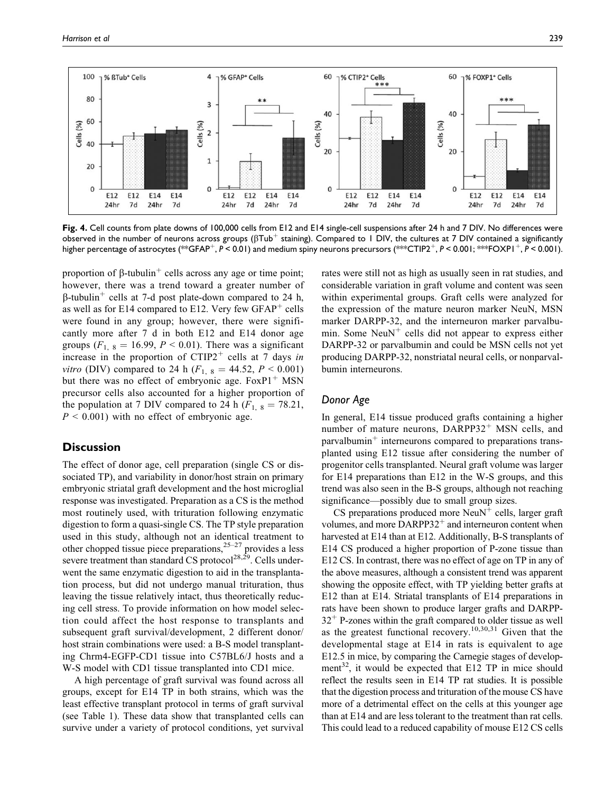

Fig. 4. Cell counts from plate downs of 100,000 cells from E12 and E14 single-cell suspensions after 24 h and 7 DIV. No differences were observed in the number of neurons across groups ( $\beta$ Tub<sup>+</sup> staining). Compared to 1 DIV, the cultures at 7 DIV contained a significantly higher percentage of astrocytes (\*6GFAP<sup>+</sup>, P < 0.01) and medium spiny neurons precursors (\*\*\*CTIP2<sup>+</sup>, P < 0.001; \*\*\*FOXP1<sup>+</sup>, P < 0.001).

proportion of  $\beta$ -tubulin<sup>+</sup> cells across any age or time point; however, there was a trend toward a greater number of  $\beta$ -tubulin<sup>+</sup> cells at 7-d post plate-down compared to 24 h, as well as for E14 compared to E12. Very few  $GFAP^+$  cells were found in any group; however, there were significantly more after 7 d in both E12 and E14 donor age groups ( $F_{1, 8} = 16.99$ ,  $P < 0.01$ ). There was a significant increase in the proportion of  $CTIP2^+$  cells at 7 days in *vitro* (DIV) compared to 24 h ( $F_{1, 8} = 44.52, P \le 0.001$ ) but there was no effect of embryonic age.  $FoxP1<sup>+</sup>$  MSN precursor cells also accounted for a higher proportion of the population at 7 DIV compared to 24 h ( $F_{1, 8} = 78.21$ ,  $P < 0.001$ ) with no effect of embryonic age.

## **Discussion**

The effect of donor age, cell preparation (single CS or dissociated TP), and variability in donor/host strain on primary embryonic striatal graft development and the host microglial response was investigated. Preparation as a CS is the method most routinely used, with trituration following enzymatic digestion to form a quasi-single CS. The TP style preparation used in this study, although not an identical treatment to other chopped tissue piece preparations, $25-27$  provides a less severe treatment than standard CS protocol $^{28,\overline{29}}$ . Cells underwent the same enzymatic digestion to aid in the transplantation process, but did not undergo manual trituration, thus leaving the tissue relatively intact, thus theoretically reducing cell stress. To provide information on how model selection could affect the host response to transplants and subsequent graft survival/development, 2 different donor/ host strain combinations were used: a B-S model transplanting Chrm4-EGFP-CD1 tissue into C57BL6/J hosts and a W-S model with CD1 tissue transplanted into CD1 mice.

A high percentage of graft survival was found across all groups, except for E14 TP in both strains, which was the least effective transplant protocol in terms of graft survival (see Table 1). These data show that transplanted cells can survive under a variety of protocol conditions, yet survival

rates were still not as high as usually seen in rat studies, and considerable variation in graft volume and content was seen within experimental groups. Graft cells were analyzed for the expression of the mature neuron marker NeuN, MSN marker DARPP-32, and the interneuron marker parvalbumin. Some NeuN<sup>+</sup> cells did not appear to express either DARPP-32 or parvalbumin and could be MSN cells not yet producing DARPP-32, nonstriatal neural cells, or nonparvalbumin interneurons.

## Donor Age

In general, E14 tissue produced grafts containing a higher number of mature neurons,  $DARPP32<sup>+</sup> MSN$  cells, and  $parvalbumin<sup>+</sup>$  interneurons compared to preparations transplanted using E12 tissue after considering the number of progenitor cells transplanted. Neural graft volume was larger for E14 preparations than E12 in the W-S groups, and this trend was also seen in the B-S groups, although not reaching significance—possibly due to small group sizes.

CS preparations produced more NeuN<sup>+</sup> cells, larger graft volumes, and more  $DARPP32^+$  and interneuron content when harvested at E14 than at E12. Additionally, B-S transplants of E14 CS produced a higher proportion of P-zone tissue than E12 CS. In contrast, there was no effect of age on TP in any of the above measures, although a consistent trend was apparent showing the opposite effect, with TP yielding better grafts at E12 than at E14. Striatal transplants of E14 preparations in rats have been shown to produce larger grafts and DARPP- $32<sup>+</sup>$  P-zones within the graft compared to older tissue as well as the greatest functional recovery.10,30,31 Given that the developmental stage at E14 in rats is equivalent to age E12.5 in mice, by comparing the Carnegie stages of development<sup>32</sup>, it would be expected that E12 TP in mice should reflect the results seen in E14 TP rat studies. It is possible that the digestion process and trituration of the mouse CS have more of a detrimental effect on the cells at this younger age than at E14 and are less tolerant to the treatment than rat cells. This could lead to a reduced capability of mouse E12 CS cells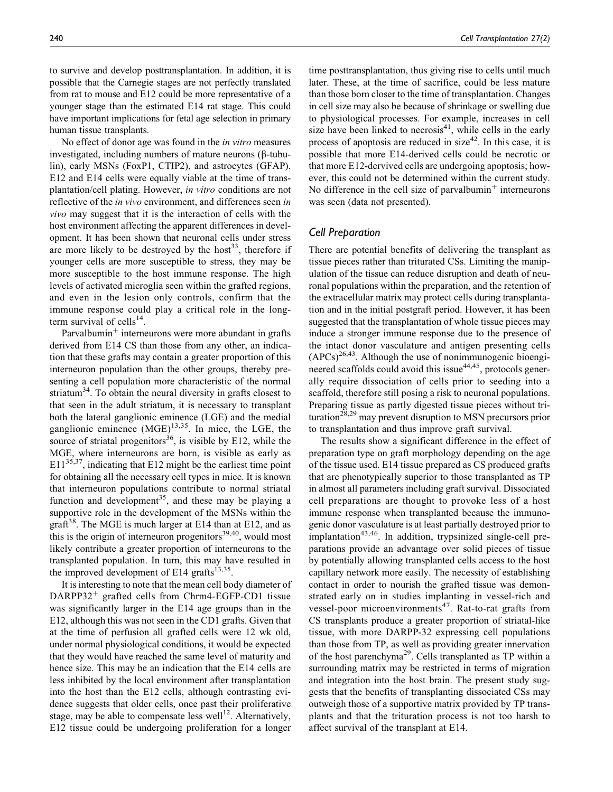to survive and develop posttransplantation. In addition, it is possible that the Carnegie stages are not perfectly translated from rat to mouse and E12 could be more representative of a younger stage than the estimated E14 rat stage. This could

human tissue transplants. No effect of donor age was found in the in vitro measures investigated, including numbers of mature neurons  $(\beta$ -tubulin), early MSNs (FoxP1, CTIP2), and astrocytes (GFAP). E12 and E14 cells were equally viable at the time of transplantation/cell plating. However, in vitro conditions are not reflective of the in vivo environment, and differences seen in vivo may suggest that it is the interaction of cells with the host environment affecting the apparent differences in development. It has been shown that neuronal cells under stress are more likely to be destroyed by the host<sup>33</sup>, therefore if younger cells are more susceptible to stress, they may be more susceptible to the host immune response. The high levels of activated microglia seen within the grafted regions, and even in the lesion only controls, confirm that the immune response could play a critical role in the longterm survival of cells $^{14}$ .

have important implications for fetal age selection in primary

Parvalbumin<sup> $+$ </sup> interneurons were more abundant in grafts derived from E14 CS than those from any other, an indication that these grafts may contain a greater proportion of this interneuron population than the other groups, thereby presenting a cell population more characteristic of the normal striatum<sup>34</sup>. To obtain the neural diversity in grafts closest to that seen in the adult striatum, it is necessary to transplant both the lateral ganglionic eminence (LGE) and the medial ganglionic eminence  $(MGE)^{13,35}$ . In mice, the LGE, the source of striatal progenitors<sup>36</sup>, is visible by E12, while the MGE, where interneurons are born, is visible as early as  $E11^{35,37}$ , indicating that E12 might be the earliest time point for obtaining all the necessary cell types in mice. It is known that interneuron populations contribute to normal striatal function and development<sup>35</sup>, and these may be playing a supportive role in the development of the MSNs within the graft<sup>38</sup>. The MGE is much larger at E14 than at E12, and as this is the origin of interneuron progenitors $39,40$ , would most likely contribute a greater proportion of interneurons to the transplanted population. In turn, this may have resulted in the improved development of E14 grafts<sup>13,35</sup>.

It is interesting to note that the mean cell body diameter of  $DARPP32<sup>+</sup>$  grafted cells from Chrm4-EGFP-CD1 tissue was significantly larger in the E14 age groups than in the E12, although this was not seen in the CD1 grafts. Given that at the time of perfusion all grafted cells were 12 wk old, under normal physiological conditions, it would be expected that they would have reached the same level of maturity and hence size. This may be an indication that the E14 cells are less inhibited by the local environment after transplantation into the host than the E12 cells, although contrasting evidence suggests that older cells, once past their proliferative stage, may be able to compensate less well<sup>12</sup>. Alternatively, E12 tissue could be undergoing proliferation for a longer time posttransplantation, thus giving rise to cells until much later. These, at the time of sacrifice, could be less mature than those born closer to the time of transplantation. Changes in cell size may also be because of shrinkage or swelling due to physiological processes. For example, increases in cell size have been linked to necrosis $41$ , while cells in the early process of apoptosis are reduced in  $size^{42}$ . In this case, it is possible that more E14-derived cells could be necrotic or that more E12-dervived cells are undergoing apoptosis; however, this could not be determined within the current study. No difference in the cell size of parvalbumin<sup> $+$ </sup> interneurons was seen (data not presented).

#### Cell Preparation

There are potential benefits of delivering the transplant as tissue pieces rather than triturated CSs. Limiting the manipulation of the tissue can reduce disruption and death of neuronal populations within the preparation, and the retention of the extracellular matrix may protect cells during transplantation and in the initial postgraft period. However, it has been suggested that the transplantation of whole tissue pieces may induce a stronger immune response due to the presence of the intact donor vasculature and antigen presenting cells  $(APCs)^{26,43}$ . Although the use of nonimmunogenic bioengineered scaffolds could avoid this issue $44,45$ , protocols generally require dissociation of cells prior to seeding into a scaffold, therefore still posing a risk to neuronal populations. Preparing tissue as partly digested tissue pieces without trituration<sup>28,29</sup> may prevent disruption to MSN precursors prior to transplantation and thus improve graft survival.

The results show a significant difference in the effect of preparation type on graft morphology depending on the age of the tissue used. E14 tissue prepared as CS produced grafts that are phenotypically superior to those transplanted as TP in almost all parameters including graft survival. Dissociated cell preparations are thought to provoke less of a host immune response when transplanted because the immunogenic donor vasculature is at least partially destroyed prior to implantation<sup>43,46</sup>. In addition, trypsinized single-cell preparations provide an advantage over solid pieces of tissue by potentially allowing transplanted cells access to the host capillary network more easily. The necessity of establishing contact in order to nourish the grafted tissue was demonstrated early on in studies implanting in vessel-rich and vessel-poor microenvironments<sup>47</sup>. Rat-to-rat grafts from CS transplants produce a greater proportion of striatal-like tissue, with more DARPP-32 expressing cell populations than those from TP, as well as providing greater innervation of the host parenchyma<sup>29</sup>. Cells transplanted as TP within a surrounding matrix may be restricted in terms of migration and integration into the host brain. The present study suggests that the benefits of transplanting dissociated CSs may outweigh those of a supportive matrix provided by TP transplants and that the trituration process is not too harsh to affect survival of the transplant at E14.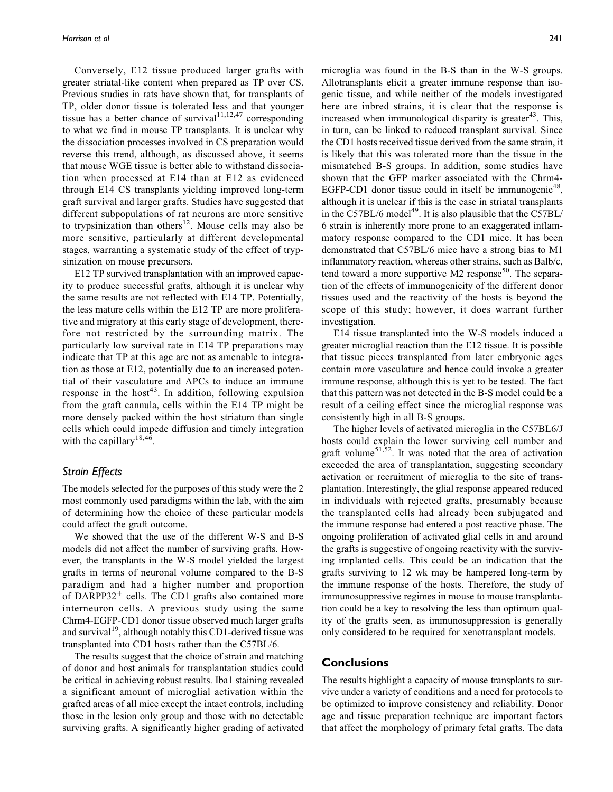Conversely, E12 tissue produced larger grafts with greater striatal-like content when prepared as TP over CS. Previous studies in rats have shown that, for transplants of TP, older donor tissue is tolerated less and that younger tissue has a better chance of survival  $11,12,47$  corresponding to what we find in mouse TP transplants. It is unclear why the dissociation processes involved in CS preparation would reverse this trend, although, as discussed above, it seems that mouse WGE tissue is better able to withstand dissociation when processed at E14 than at E12 as evidenced through E14 CS transplants yielding improved long-term graft survival and larger grafts. Studies have suggested that different subpopulations of rat neurons are more sensitive to trypsinization than others $12$ . Mouse cells may also be more sensitive, particularly at different developmental stages, warranting a systematic study of the effect of trypsinization on mouse precursors.

E12 TP survived transplantation with an improved capacity to produce successful grafts, although it is unclear why the same results are not reflected with E14 TP. Potentially, the less mature cells within the E12 TP are more proliferative and migratory at this early stage of development, therefore not restricted by the surrounding matrix. The particularly low survival rate in E14 TP preparations may indicate that TP at this age are not as amenable to integration as those at E12, potentially due to an increased potential of their vasculature and APCs to induce an immune response in the host<sup>43</sup>. In addition, following expulsion from the graft cannula, cells within the E14 TP might be more densely packed within the host striatum than single cells which could impede diffusion and timely integration with the capillary<sup>18,46</sup>.

## Strain Effects

The models selected for the purposes of this study were the 2 most commonly used paradigms within the lab, with the aim of determining how the choice of these particular models could affect the graft outcome.

We showed that the use of the different W-S and B-S models did not affect the number of surviving grafts. However, the transplants in the W-S model yielded the largest grafts in terms of neuronal volume compared to the B-S paradigm and had a higher number and proportion of DARPP32<sup>+</sup> cells. The CD1 grafts also contained more interneuron cells. A previous study using the same Chrm4-EGFP-CD1 donor tissue observed much larger grafts and survival<sup>19</sup>, although notably this CD1-derived tissue was transplanted into CD1 hosts rather than the C57BL/6.

The results suggest that the choice of strain and matching of donor and host animals for transplantation studies could be critical in achieving robust results. Iba1 staining revealed a significant amount of microglial activation within the grafted areas of all mice except the intact controls, including those in the lesion only group and those with no detectable surviving grafts. A significantly higher grading of activated

microglia was found in the B-S than in the W-S groups. Allotransplants elicit a greater immune response than isogenic tissue, and while neither of the models investigated here are inbred strains, it is clear that the response is increased when immunological disparity is greater<sup>43</sup>. This, in turn, can be linked to reduced transplant survival. Since the CD1 hosts received tissue derived from the same strain, it is likely that this was tolerated more than the tissue in the mismatched B-S groups. In addition, some studies have shown that the GFP marker associated with the Chrm4- EGFP-CD1 donor tissue could in itself be immunogenic<sup>48</sup>, although it is unclear if this is the case in striatal transplants in the C57BL/6 model<sup>49</sup>. It is also plausible that the C57BL/ 6 strain is inherently more prone to an exaggerated inflammatory response compared to the CD1 mice. It has been demonstrated that C57BL/6 mice have a strong bias to M1 inflammatory reaction, whereas other strains, such as Balb/c, tend toward a more supportive M2 response<sup>50</sup>. The separation of the effects of immunogenicity of the different donor tissues used and the reactivity of the hosts is beyond the scope of this study; however, it does warrant further investigation.

E14 tissue transplanted into the W-S models induced a greater microglial reaction than the E12 tissue. It is possible that tissue pieces transplanted from later embryonic ages contain more vasculature and hence could invoke a greater immune response, although this is yet to be tested. The fact that this pattern was not detected in the B-S model could be a result of a ceiling effect since the microglial response was consistently high in all B-S groups.

The higher levels of activated microglia in the C57BL6/J hosts could explain the lower surviving cell number and graft volume<sup>51,52</sup>. It was noted that the area of activation exceeded the area of transplantation, suggesting secondary activation or recruitment of microglia to the site of transplantation. Interestingly, the glial response appeared reduced in individuals with rejected grafts, presumably because the transplanted cells had already been subjugated and the immune response had entered a post reactive phase. The ongoing proliferation of activated glial cells in and around the grafts is suggestive of ongoing reactivity with the surviving implanted cells. This could be an indication that the grafts surviving to 12 wk may be hampered long-term by the immune response of the hosts. Therefore, the study of immunosuppressive regimes in mouse to mouse transplantation could be a key to resolving the less than optimum quality of the grafts seen, as immunosuppression is generally only considered to be required for xenotransplant models.

## **Conclusions**

The results highlight a capacity of mouse transplants to survive under a variety of conditions and a need for protocols to be optimized to improve consistency and reliability. Donor age and tissue preparation technique are important factors that affect the morphology of primary fetal grafts. The data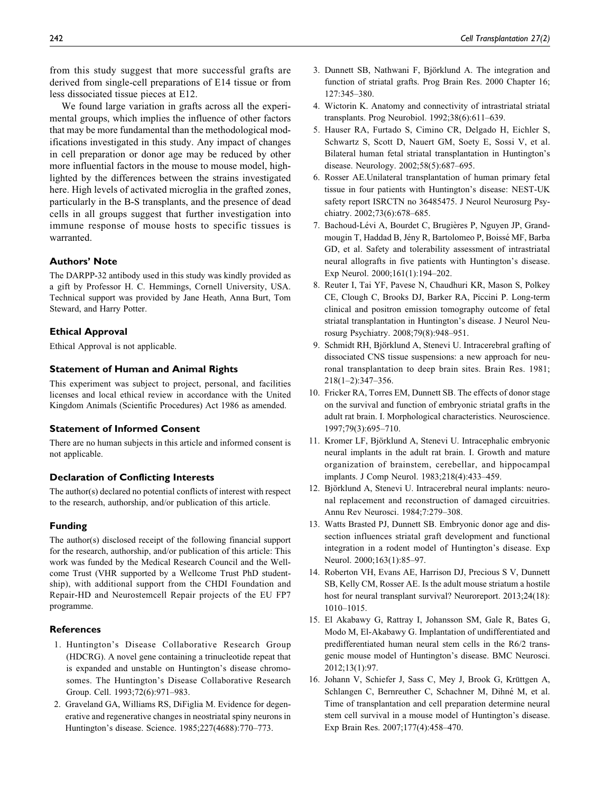from this study suggest that more successful grafts are derived from single-cell preparations of E14 tissue or from less dissociated tissue pieces at E12.

We found large variation in grafts across all the experimental groups, which implies the influence of other factors that may be more fundamental than the methodological modifications investigated in this study. Any impact of changes in cell preparation or donor age may be reduced by other more influential factors in the mouse to mouse model, highlighted by the differences between the strains investigated here. High levels of activated microglia in the grafted zones, particularly in the B-S transplants, and the presence of dead cells in all groups suggest that further investigation into immune response of mouse hosts to specific tissues is warranted.

## Authors' Note

The DARPP-32 antibody used in this study was kindly provided as a gift by Professor H. C. Hemmings, Cornell University, USA. Technical support was provided by Jane Heath, Anna Burt, Tom Steward, and Harry Potter.

## Ethical Approval

Ethical Approval is not applicable.

## Statement of Human and Animal Rights

This experiment was subject to project, personal, and facilities licenses and local ethical review in accordance with the United Kingdom Animals (Scientific Procedures) Act 1986 as amended.

## Statement of Informed Consent

There are no human subjects in this article and informed consent is not applicable.

## Declaration of Conflicting Interests

The author(s) declared no potential conflicts of interest with respect to the research, authorship, and/or publication of this article.

# Funding

The author(s) disclosed receipt of the following financial support for the research, authorship, and/or publication of this article: This work was funded by the Medical Research Council and the Wellcome Trust (VHR supported by a Wellcome Trust PhD studentship), with additional support from the CHDI Foundation and Repair-HD and Neurostemcell Repair projects of the EU FP7 programme.

## **References**

- 1. Huntington's Disease Collaborative Research Group (HDCRG). A novel gene containing a trinucleotide repeat that is expanded and unstable on Huntington's disease chromosomes. The Huntington's Disease Collaborative Research Group. Cell. 1993;72(6):971–983.
- 2. Graveland GA, Williams RS, DiFiglia M. Evidence for degenerative and regenerative changes in neostriatal spiny neurons in Huntington's disease. Science. 1985;227(4688):770–773.
- 3. Dunnett SB, Nathwani F, Björklund A. The integration and function of striatal grafts. Prog Brain Res. 2000 Chapter 16; 127:345–380.
- 4. Wictorin K. Anatomy and connectivity of intrastriatal striatal transplants. Prog Neurobiol. 1992;38(6):611–639.
- 5. Hauser RA, Furtado S, Cimino CR, Delgado H, Eichler S, Schwartz S, Scott D, Nauert GM, Soety E, Sossi V, et al. Bilateral human fetal striatal transplantation in Huntington's disease. Neurology. 2002;58(5):687–695.
- 6. Rosser AE.Unilateral transplantation of human primary fetal tissue in four patients with Huntington's disease: NEST-UK safety report ISRCTN no 36485475. J Neurol Neurosurg Psychiatry. 2002;73(6):678–685.
- 7. Bachoud-Lévi A, Bourdet C, Brugières P, Nguyen JP, Grandmougin T, Haddad B, Jény R, Bartolomeo P, Boissé MF, Barba GD, et al. Safety and tolerability assessment of intrastriatal neural allografts in five patients with Huntington's disease. Exp Neurol. 2000;161(1):194–202.
- 8. Reuter I, Tai YF, Pavese N, Chaudhuri KR, Mason S, Polkey CE, Clough C, Brooks DJ, Barker RA, Piccini P. Long-term clinical and positron emission tomography outcome of fetal striatal transplantation in Huntington's disease. J Neurol Neurosurg Psychiatry. 2008;79(8):948–951.
- 9. Schmidt RH, Björklund A, Stenevi U. Intracerebral grafting of dissociated CNS tissue suspensions: a new approach for neuronal transplantation to deep brain sites. Brain Res. 1981; 218(1–2):347–356.
- 10. Fricker RA, Torres EM, Dunnett SB. The effects of donor stage on the survival and function of embryonic striatal grafts in the adult rat brain. I. Morphological characteristics. Neuroscience. 1997;79(3):695–710.
- 11. Kromer LF, Björklund A, Stenevi U. Intracephalic embryonic neural implants in the adult rat brain. I. Growth and mature organization of brainstem, cerebellar, and hippocampal implants. J Comp Neurol. 1983;218(4):433–459.
- 12. Björklund A, Stenevi U. Intracerebral neural implants: neuronal replacement and reconstruction of damaged circuitries. Annu Rev Neurosci. 1984;7:279–308.
- 13. Watts Brasted PJ, Dunnett SB. Embryonic donor age and dissection influences striatal graft development and functional integration in a rodent model of Huntington's disease. Exp Neurol. 2000;163(1):85–97.
- 14. Roberton VH, Evans AE, Harrison DJ, Precious S V, Dunnett SB, Kelly CM, Rosser AE. Is the adult mouse striatum a hostile host for neural transplant survival? Neuroreport. 2013;24(18): 1010–1015.
- 15. El Akabawy G, Rattray I, Johansson SM, Gale R, Bates G, Modo M, El-Akabawy G. Implantation of undifferentiated and predifferentiated human neural stem cells in the R6/2 transgenic mouse model of Huntington's disease. BMC Neurosci. 2012;13(1):97.
- 16. Johann V, Schiefer J, Sass C, Mey J, Brook G, Krüttgen A, Schlangen C, Bernreuther C, Schachner M, Dihné M, et al. Time of transplantation and cell preparation determine neural stem cell survival in a mouse model of Huntington's disease. Exp Brain Res. 2007;177(4):458–470.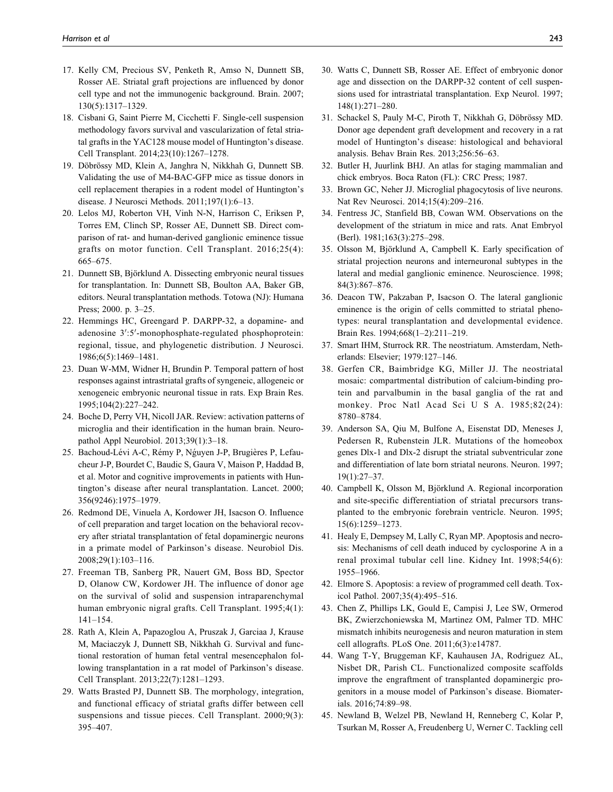- 17. Kelly CM, Precious SV, Penketh R, Amso N, Dunnett SB, Rosser AE. Striatal graft projections are influenced by donor cell type and not the immunogenic background. Brain. 2007; 130(5):1317–1329.
- 18. Cisbani G, Saint Pierre M, Cicchetti F. Single-cell suspension methodology favors survival and vascularization of fetal striatal grafts in the YAC128 mouse model of Huntington's disease. Cell Transplant. 2014;23(10):1267–1278.
- 19. Döbrössy MD, Klein A, Janghra N, Nikkhah G, Dunnett SB. Validating the use of M4-BAC-GFP mice as tissue donors in cell replacement therapies in a rodent model of Huntington's disease. J Neurosci Methods. 2011;197(1):6–13.
- 20. Lelos MJ, Roberton VH, Vinh N-N, Harrison C, Eriksen P, Torres EM, Clinch SP, Rosser AE, Dunnett SB. Direct comparison of rat- and human-derived ganglionic eminence tissue grafts on motor function. Cell Transplant. 2016;25(4): 665–675.
- 21. Dunnett SB, Björklund A. Dissecting embryonic neural tissues for transplantation. In: Dunnett SB, Boulton AA, Baker GB, editors. Neural transplantation methods. Totowa (NJ): Humana Press; 2000. p. 3–25.
- 22. Hemmings HC, Greengard P. DARPP-32, a dopamine- and adenosine 3':5'-monophosphate-regulated phosphoprotein: regional, tissue, and phylogenetic distribution. J Neurosci. 1986;6(5):1469–1481.
- 23. Duan W-MM, Widner H, Brundin P. Temporal pattern of host responses against intrastriatal grafts of syngeneic, allogeneic or xenogeneic embryonic neuronal tissue in rats. Exp Brain Res. 1995;104(2):227–242.
- 24. Boche D, Perry VH, Nicoll JAR. Review: activation patterns of microglia and their identification in the human brain. Neuropathol Appl Neurobiol. 2013;39(1):3–18.
- 25. Bachoud-Lévi A-C, Rémy P, Nguyen J-P, Brugières P, Lefaucheur J-P, Bourdet C, Baudic S, Gaura V, Maison P, Haddad B, et al. Motor and cognitive improvements in patients with Huntington's disease after neural transplantation. Lancet. 2000; 356(9246):1975–1979.
- 26. Redmond DE, Vinuela A, Kordower JH, Isacson O. Influence of cell preparation and target location on the behavioral recovery after striatal transplantation of fetal dopaminergic neurons in a primate model of Parkinson's disease. Neurobiol Dis. 2008;29(1):103–116.
- 27. Freeman TB, Sanberg PR, Nauert GM, Boss BD, Spector D, Olanow CW, Kordower JH. The influence of donor age on the survival of solid and suspension intraparenchymal human embryonic nigral grafts. Cell Transplant. 1995;4(1): 141–154.
- 28. Rath A, Klein A, Papazoglou A, Pruszak J, Garciaa J, Krause M, Maciaczyk J, Dunnett SB, Nikkhah G. Survival and functional restoration of human fetal ventral mesencephalon following transplantation in a rat model of Parkinson's disease. Cell Transplant. 2013;22(7):1281–1293.
- 29. Watts Brasted PJ, Dunnett SB. The morphology, integration, and functional efficacy of striatal grafts differ between cell suspensions and tissue pieces. Cell Transplant. 2000;9(3): 395–407.
- 30. Watts C, Dunnett SB, Rosser AE. Effect of embryonic donor age and dissection on the DARPP-32 content of cell suspensions used for intrastriatal transplantation. Exp Neurol. 1997; 148(1):271–280.
- 31. Schackel S, Pauly M-C, Piroth T, Nikkhah G, Döbrössy MD. Donor age dependent graft development and recovery in a rat model of Huntington's disease: histological and behavioral analysis. Behav Brain Res. 2013;256:56–63.
- 32. Butler H, Juurlink BHJ. An atlas for staging mammalian and chick embryos. Boca Raton (FL): CRC Press; 1987.
- 33. Brown GC, Neher JJ. Microglial phagocytosis of live neurons. Nat Rev Neurosci. 2014;15(4):209–216.
- 34. Fentress JC, Stanfield BB, Cowan WM. Observations on the development of the striatum in mice and rats. Anat Embryol (Berl). 1981;163(3):275–298.
- 35. Olsson M, Björklund A, Campbell K. Early specification of striatal projection neurons and interneuronal subtypes in the lateral and medial ganglionic eminence. Neuroscience. 1998; 84(3):867–876.
- 36. Deacon TW, Pakzaban P, Isacson O. The lateral ganglionic eminence is the origin of cells committed to striatal phenotypes: neural transplantation and developmental evidence. Brain Res. 1994;668(1–2):211–219.
- 37. Smart IHM, Sturrock RR. The neostriatum. Amsterdam, Netherlands: Elsevier; 1979:127–146.
- 38. Gerfen CR, Baimbridge KG, Miller JJ. The neostriatal mosaic: compartmental distribution of calcium-binding protein and parvalbumin in the basal ganglia of the rat and monkey. Proc Natl Acad Sci U S A. 1985;82(24): 8780–8784.
- 39. Anderson SA, Qiu M, Bulfone A, Eisenstat DD, Meneses J, Pedersen R, Rubenstein JLR. Mutations of the homeobox genes Dlx-1 and Dlx-2 disrupt the striatal subventricular zone and differentiation of late born striatal neurons. Neuron. 1997; 19(1):27–37.
- 40. Campbell K, Olsson M, Björklund A. Regional incorporation and site-specific differentiation of striatal precursors transplanted to the embryonic forebrain ventricle. Neuron. 1995; 15(6):1259–1273.
- 41. Healy E, Dempsey M, Lally C, Ryan MP. Apoptosis and necrosis: Mechanisms of cell death induced by cyclosporine A in a renal proximal tubular cell line. Kidney Int. 1998;54(6): 1955–1966.
- 42. Elmore S. Apoptosis: a review of programmed cell death. Toxicol Pathol. 2007;35(4):495–516.
- 43. Chen Z, Phillips LK, Gould E, Campisi J, Lee SW, Ormerod BK, Zwierzchoniewska M, Martinez OM, Palmer TD. MHC mismatch inhibits neurogenesis and neuron maturation in stem cell allografts. PLoS One. 2011;6(3):e14787.
- 44. Wang T-Y, Bruggeman KF, Kauhausen JA, Rodriguez AL, Nisbet DR, Parish CL. Functionalized composite scaffolds improve the engraftment of transplanted dopaminergic progenitors in a mouse model of Parkinson's disease. Biomaterials. 2016;74:89–98.
- 45. Newland B, Welzel PB, Newland H, Renneberg C, Kolar P, Tsurkan M, Rosser A, Freudenberg U, Werner C. Tackling cell